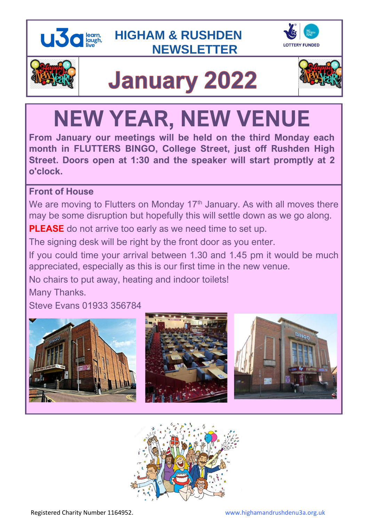







# **January 2022**



## **NEW YEAR, NEW VENUE**

**From January our meetings will be held on the third Monday each month in FLUTTERS BINGO, College Street, just off Rushden High Street. Doors open at 1:30 and the speaker will start promptly at 2 o'clock.**

## **Front of House**

We are moving to Flutters on Monday 17<sup>th</sup> January. As with all moves there may be some disruption but hopefully this will settle down as we go along.

**PLEASE** do not arrive too early as we need time to set up.

The signing desk will be right by the front door as you enter.

If you could time your arrival between 1.30 and 1.45 pm it would be much appreciated, especially as this is our first time in the new venue.

No chairs to put away, heating and indoor toilets!

Many Thanks.

Steve Evans 01933 356784



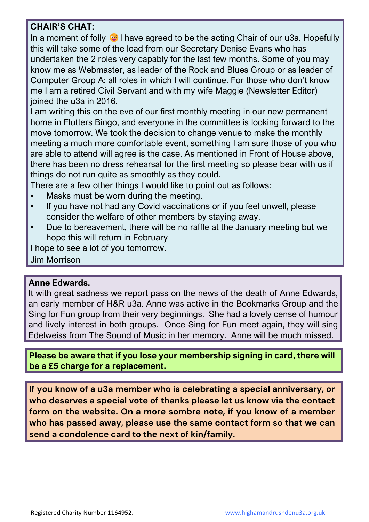## **CHAIR'S CHAT:**

In a moment of folly  $\odot$  I have agreed to be the acting Chair of our u3a. Hopefully this will take some of the load from our Secretary Denise Evans who has undertaken the 2 roles very capably for the last few months. Some of you may know me as Webmaster, as leader of the Rock and Blues Group or as leader of Computer Group A: all roles in which I will continue. For those who don't know me I am a retired Civil Servant and with my wife Maggie (Newsletter Editor) joined the u3a in 2016.

I am writing this on the eve of our first monthly meeting in our new permanent home in Flutters Bingo, and everyone in the committee is looking forward to the move tomorrow. We took the decision to change venue to make the monthly meeting a much more comfortable event, something I am sure those of you who are able to attend will agree is the case. As mentioned in Front of House above, there has been no dress rehearsal for the first meeting so please bear with us if things do not run quite as smoothly as they could.

There are a few other things I would like to point out as follows:

- Masks must be worn during the meeting.
- If you have not had any Covid vaccinations or if you feel unwell, please consider the welfare of other members by staying away.
- Due to bereavement, there will be no raffle at the January meeting but we hope this will return in February

I hope to see a lot of you tomorrow.

Jim Morrison

#### **Anne Edwards.**

It with great sadness we report pass on the news of the death of Anne Edwards, an early member of H&R u3a. Anne was active in the Bookmarks Group and the Sing for Fun group from their very beginnings. She had a lovely cense of humour and lively interest in both groups. Once Sing for Fun meet again, they will sing Edelweiss from The Sound of Music in her memory. Anne will be much missed.

**Please be aware that if you lose your membership signing in card, there will be a £5 charge for a replacement.** 

**If you know of a u3a member who is celebrating a special anniversary, or who deserves a special vote of thanks please let us know via the contact form on the website. On a more sombre note, if you know of a member who has passed away, please use the same contact form so that we can send a condolence card to the next of kin/family.**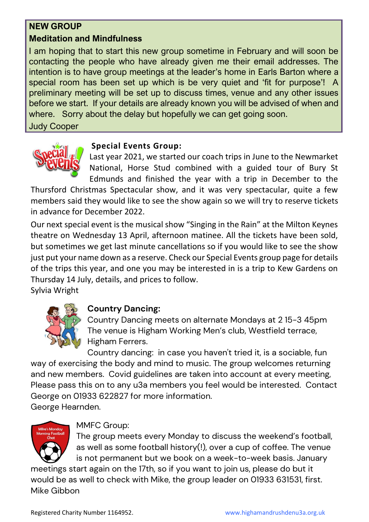## **NEW GROUP**

## **Meditation and Mindfulness**

I am hoping that to start this new group sometime in February and will soon be contacting the people who have already given me their email addresses. The intention is to have group meetings at the leader's home in Earls Barton where a special room has been set up which is be very quiet and 'fit for purpose'! A preliminary meeting will be set up to discuss times, venue and any other issues before we start. If your details are already known you will be advised of when and where. Sorry about the delay but hopefully we can get going soon.

Judy Cooper



### **Special Events Group:**

Last year 2021, we started our coach trips in June to the Newmarket National, Horse Stud combined with a guided tour of Bury St Edmunds and finished the year with a trip in December to the

Thursford Christmas Spectacular show, and it was very spectacular, quite a few members said they would like to see the show again so we will try to reserve tickets in advance for December 2022.

Our next special event is the musical show "Singing in the Rain" at the Milton Keynes theatre on Wednesday 13 April, afternoon matinee. All the tickets have been sold, but sometimes we get last minute cancellations so if you would like to see the show just put your name down as a reserve. Check our Special Events group page for details of the trips this year, and one you may be interested in is a trip to Kew Gardens on Thursday 14 July, details, and prices to follow.

Sylvia Wright



## **Country Dancing:**

Country Dancing meets on alternate Mondays at 2 15-3 45pm The venue is Higham Working Men's club, Westfield terrace, Higham Ferrers.

Country dancing: in case you haven't tried it, is a sociable, fun way of exercising the body and mind to music. The group welcomes returning and new members. Covid guidelines are taken into account at every meeting, Please pass this on to any u3a members you feel would be interested. Contact George on 01933 622827 for more information. George Hearnden.

## MMFC Group:

The group meets every Monday to discuss the weekend's football, as well as some football history(!), over a cup of coffee. The venue is not permanent but we book on a week-to-week basis. January

meetings start again on the 17th, so if you want to join us, please do but it would be as well to check with Mike, the group leader on 01933 631531, first. Mike Gibbon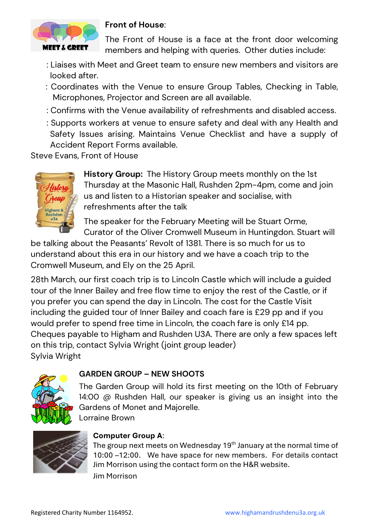

#### **Front of House**:

The Front of House is a face at the front door welcoming members and helping with queries. Other duties include:

- : Liaises with Meet and Greet team to ensure new members and visitors are looked after.
- : Coordinates with the Venue to ensure Group Tables, Checking in Table, Microphones, Projector and Screen are all available.
- : Confirms with the Venue availability of refreshments and disabled access.
- : Supports workers at venue to ensure safety and deal with any Health and Safety Issues arising. Maintains Venue Checklist and have a supply of Accident Report Forms available.

Steve Evans, Front of House



**History Group:** The History Group meets monthly on the 1st Thursday at the Masonic Hall, Rushden 2pm-4pm, come and join us and listen to a Historian speaker and socialise, with refreshments after the talk

The speaker for the February Meeting will be Stuart Orme, Curator of the Oliver Cromwell Museum in Huntingdon. Stuart will

be talking about the Peasants' Revolt of 1381. There is so much for us to understand about this era in our history and we have a coach trip to the Cromwell Museum, and Ely on the 25 April.

28th March, our first coach trip is to Lincoln Castle which will include a guided tour of the Inner Bailey and free flow time to enjoy the rest of the Castle, or if you prefer you can spend the day in Lincoln. The cost for the Castle Visit including the guided tour of Inner Bailey and coach fare is £29 pp and if you would prefer to spend free time in Lincoln, the coach fare is only £14 pp. Cheques payable to Higham and Rushden U3A. There are only a few spaces left on this trip, contact Sylvia Wright (joint group leader) Sylvia Wright



#### **GARDEN GROUP – NEW SHOOTS**

The Garden Group will hold its first meeting on the 10th of February 14:00 @ Rushden Hall, our speaker is giving us an insight into the Gardens of Monet and Majorelle.

Lorraine Brown



#### **Computer Group A**:

The group next meets on Wednesday 19<sup>th</sup> January at the normal time of 10:00 –12:00. We have space for new members. For details contact Jim Morrison using the contact form on the H&R website. Jim Morrison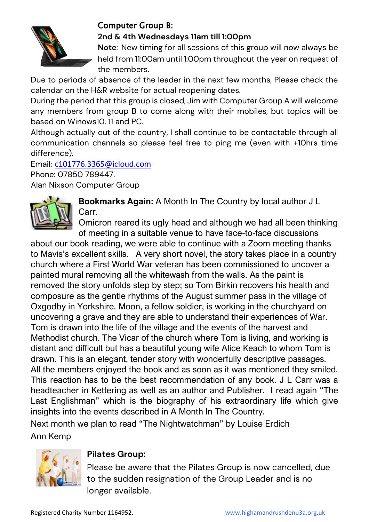

## Computer Group B:

#### **2nd & 4th Wednesdays 11am till 1:00pm**

**Note**: New timing for all sessions of this group will now always be held from 11:00am until 1:00pm throughout the year on request of the members.

Due to periods of absence of the leader in the next few months, Please check the calendar on the H&R website for actual reopening dates.

During the period that this group is closed, Jim with Computer Group A will welcome any members from group B to come along with their mobiles, but topics will be based on Winows10, 11 and PC.

Although actually out of the country, I shall continue to be contactable through all communication channels so please feel free to ping me (even with +10hrs time difference).

Email: [c101776.3365@icloud.com](mailto:c101776.3365@icloud.com) Phone: 07850 789447. Alan Nixson Computer Group

**Bookmarks Again:** A Month In The Country by local author J L Carr.

Omicron reared its ugly head and although we had all been thinking of meeting in a suitable venue to have face-to-face discussions

about our book reading, we were able to continue with a Zoom meeting thanks to Mavis's excellent skills. A very short novel, the story takes place in a country church where a First World War veteran has been commissioned to uncover a painted mural removing all the whitewash from the walls. As the paint is removed the story unfolds step by step; so Tom Birkin recovers his health and composure as the gentle rhythms of the August summer pass in the village of Oxgodby in Yorkshire. Moon, a fellow soldier, is working in the churchyard on uncovering a grave and they are able to understand their experiences of War. Tom is drawn into the life of the village and the events of the harvest and Methodist church. The Vicar of the church where Tom is living, and working is distant and difficult but has a beautiful young wife Alice Keach to whom Tom is drawn. This is an elegant, tender story with wonderfully descriptive passages. All the members enjoyed the book and as soon as it was mentioned they smiled. This reaction has to be the best recommendation of any book. J L Carr was a headteacher in Kettering as well as an author and Publisher. I read again "The Last Englishman" which is the biography of his extraordinary life which give insights into the events described in A Month In The Country.

Next month we plan to read "The Nightwatchman" by Louise Erdich Ann Kemp



## **Pilates Group:**

Please be aware that the Pilates Group is now cancelled, due to the sudden resignation of the Group Leader and is no longer available.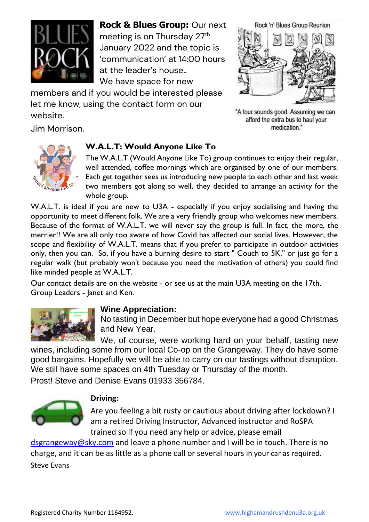

**Rock & Blues Group:** Our next meeting is on Thursday 27<sup>th</sup> January 2022 and the topic is 'communication' at 14:00 hours at the leader's house.. We have space for new

members and if you would be interested please let me know, using the contact form on our website.

Jim Morrison.



"A tour sounds good. Assuming we can afford the extra bus to haul your medication."



#### **W.A.L.T: Would Anyone Like To**

The W.A.L.T (Would Anyone Like To) group continues to enjoy their regular, well attended, coffee mornings which are organised by one of our members. Each get together sees us introducing new people to each other and last week two members got along so well, they decided to arrange an activity for the whole group.

W.A.L.T. is ideal if you are new to U3A - especially if you enjoy socialising and having the opportunity to meet different folk. We are a very friendly group who welcomes new members. Because of the format of W.A.L.T. we will never say the group is full. In fact, the more, the merrier!! We are all only too aware of how Covid has affected our social lives. However, the scope and flexibility of W.A.L.T. means that if you prefer to participate in outdoor activities only, then you can. So, if you have a burning desire to start " Couch to 5K," or just go for a regular walk (but probably won't because you need the motivation of others) you could find like minded people at W.A.L.T.

Our contact details are on the website - or see us at the main U3A meeting on the 17th. Group Leaders - Janet and Ken.



#### **Wine Appreciation:**

No tasting in December but hope everyone had a good Christmas and New Year.

We, of course, were working hard on your behalf, tasting new wines, including some from our local Co-op on the Grangeway. They do have some good bargains. Hopefully we will be able to carry on our tastings without disruption. We still have some spaces on 4th Tuesday or Thursday of the month. Prost! Steve and Denise Evans 01933 356784.



#### **Driving:**

Are you feeling a bit rusty or cautious about driving after lockdown? I am a retired Driving Instructor, Advanced instructor and RoSPA trained so if you need any help or advice, please email

[dsgrangeway@sky.com](mailto:dsgrangeway@sky.com) and leave a phone number and I will be in touch. There is no charge, and it can be as little as a phone call or several hours in your car as required. Steve Evans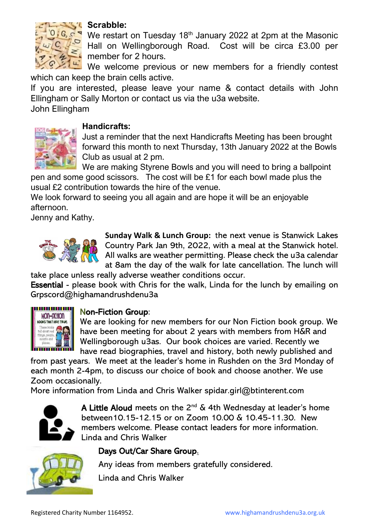

#### **Scrabble:**

We restart on Tuesday 18<sup>th</sup> January 2022 at 2pm at the Masonic Hall on Wellingborough Road. Cost will be circa £3.00 per member for 2 hours.

We welcome previous or new members for a friendly contest which can keep the brain cells active.

If you are interested, please leave your name & contact details with John Ellingham or Sally Morton or contact us via the u3a website. John Ellingham

#### **Handicrafts:**

Just a reminder that the next Handicrafts Meeting has been brought forward this month to next Thursday, 13th January 2022 at the Bowls Club as usual at 2 pm.

We are making Styrene Bowls and you will need to bring a ballpoint pen and some good scissors. The cost will be £1 for each bowl made plus the usual £2 contribution towards the hire of the venue.

We look forward to seeing you all again and are hope it will be an enjoyable afternoon.

Jenny and Kathy.



**Sunday Walk & Lunch Group:** the next venue is Stanwick Lakes Country Park Jan 9th, 2022, with a meal at the Stanwick hotel. All walks are weather permitting. Please check the u3a calendar at 8am the day of the walk for late cancellation. The lunch will

take place unless really adverse weather conditions occur.

Essential - please book with Chris for the walk, Linda for the lunch by emailing on Grpscord@highamandrushdenu3a



#### Non-Fiction Group:

We are looking for new members for our Non Fiction book group. We have been meeting for about 2 years with members from H&R and Wellingborough u3as. Our book choices are varied. Recently we have read biographies, travel and history, both newly published and

from past years. We meet at the leader's home in Rushden on the 3rd Monday of each month 2-4pm, to discuss our choice of book and choose another. We use Zoom occasionally.

More information from Linda and Chris Walker [spidar.girl@btinterent.com](mailto:spidar.girl@btinterent.com)



A Little Aloud meets on the  $2^{nd}$  & 4th Wednesday at leader's home between10.15-12.15 or on Zoom 10.00 & 10.45-11.30. New members welcome. Please contact leaders for more information. Linda and Chris Walker



## Days Out/Car Share Group.

Any ideas from members gratefully considered.

Linda and Chris Walker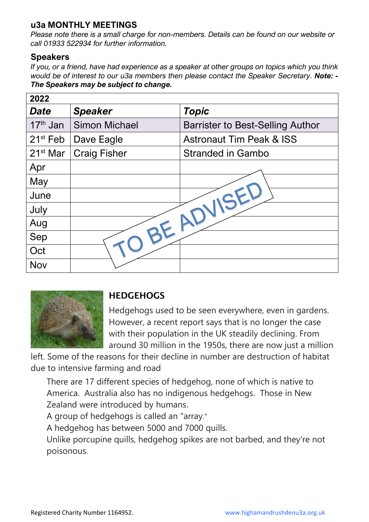## **u3a MONTHLY MEETINGS**

*Please note there is a small charge for non-members. Details can be found on our website or call 01933 522934 for further information.*

### **Speakers**

*If you, or a friend, have had experience as a speaker at other groups on topics which you think would be of interest to our u3a members then please contact the Speaker Secretary. Note: - The Speakers may be subject to change.*

| 2022                 |                      |                                         |  |  |
|----------------------|----------------------|-----------------------------------------|--|--|
| <b>Date</b>          | <b>Speaker</b>       | <b>Topic</b>                            |  |  |
| 17 <sup>th</sup> Jan | <b>Simon Michael</b> | <b>Barrister to Best-Selling Author</b> |  |  |
| $21st$ Feb           | Dave Eagle           | <b>Astronaut Tim Peak &amp; ISS</b>     |  |  |
| $21st$ Mar           | <b>Craig Fisher</b>  | <b>Stranded in Gambo</b>                |  |  |
| Apr                  |                      |                                         |  |  |
| May                  |                      |                                         |  |  |
| June                 |                      |                                         |  |  |
| July                 |                      |                                         |  |  |
| Aug                  |                      |                                         |  |  |
| Sep                  |                      |                                         |  |  |
| Oct                  |                      |                                         |  |  |
| <b>Nov</b>           |                      |                                         |  |  |



## **HEDGEHOGS**

Hedgehogs used to be seen everywhere, even in gardens. However, a recent report says that is no longer the case with their population in the UK steadily declining. From around 30 million in the 1950s, there are now just a million

left. Some of the reasons for their decline in number are destruction of habitat due to intensive farming and road

There are 17 different species of hedgehog, none of which is native to America. Australia also has no indigenous hedgehogs. Those in New Zealand were introduced by humans.

A group of hedgehogs is called an "array."

A hedgehog has between 5000 and 7000 quills.

Unlike porcupine quills, hedgehog spikes are not barbed, and they're not poisonous.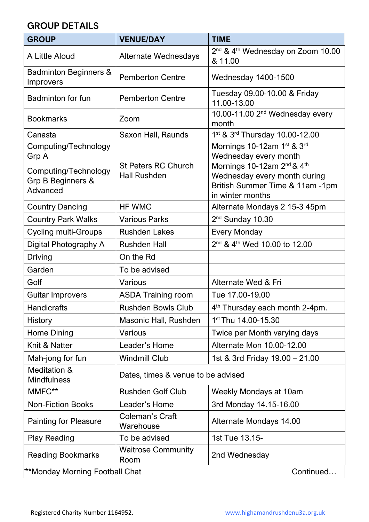## **GROUP DETAILS**

| <b>GROUP</b>                                          | <b>VENUE/DAY</b>                                  | <b>TIME</b>                                                                                                                               |  |  |
|-------------------------------------------------------|---------------------------------------------------|-------------------------------------------------------------------------------------------------------------------------------------------|--|--|
| A Little Aloud                                        | <b>Alternate Wednesdays</b>                       | 2 <sup>nd</sup> & 4 <sup>th</sup> Wednesday on Zoom 10.00<br>& 11.00                                                                      |  |  |
| <b>Badminton Beginners &amp;</b><br>Improvers         | <b>Pemberton Centre</b>                           | <b>Wednesday 1400-1500</b>                                                                                                                |  |  |
| Badminton for fun                                     | <b>Pemberton Centre</b>                           | Tuesday 09.00-10.00 & Friday<br>11.00-13.00                                                                                               |  |  |
| <b>Bookmarks</b>                                      | Zoom                                              | 10.00-11.00 2 <sup>nd</sup> Wednesday every<br>month                                                                                      |  |  |
| Canasta                                               | Saxon Hall, Raunds                                | 1 <sup>st</sup> & 3 <sup>rd</sup> Thursday 10.00-12.00                                                                                    |  |  |
| Computing/Technology<br>Grp A                         |                                                   | Mornings 10-12am 1st & 3rd<br>Wednesday every month                                                                                       |  |  |
| Computing/Technology<br>Grp B Beginners &<br>Advanced | <b>St Peters RC Church</b><br><b>Hall Rushden</b> | Mornings 10-12am 2 <sup>nd</sup> & 4 <sup>th</sup><br>Wednesday every month during<br>British Summer Time & 11am -1pm<br>in winter months |  |  |
| <b>Country Dancing</b>                                | <b>HF WMC</b>                                     | Alternate Mondays 2 15-3 45pm                                                                                                             |  |  |
| <b>Country Park Walks</b>                             | <b>Various Parks</b>                              | 2 <sup>nd</sup> Sunday 10.30                                                                                                              |  |  |
| <b>Cycling multi-Groups</b>                           | <b>Rushden Lakes</b>                              | <b>Every Monday</b>                                                                                                                       |  |  |
| Digital Photography A                                 | <b>Rushden Hall</b>                               | 2 <sup>nd</sup> & 4 <sup>th</sup> Wed 10.00 to 12.00                                                                                      |  |  |
| <b>Driving</b>                                        | On the Rd                                         |                                                                                                                                           |  |  |
| Garden                                                | To be advised                                     |                                                                                                                                           |  |  |
| Golf                                                  | <b>Various</b>                                    | Alternate Wed & Fri                                                                                                                       |  |  |
| <b>Guitar Improvers</b>                               | <b>ASDA Training room</b>                         | Tue 17.00-19.00                                                                                                                           |  |  |
| Handicrafts                                           | <b>Rushden Bowls Club</b>                         | 4 <sup>th</sup> Thursday each month 2-4pm.                                                                                                |  |  |
| History                                               | Masonic Hall, Rushden                             | 1st Thu 14.00-15.30                                                                                                                       |  |  |
| Home Dining                                           | Various                                           | Twice per Month varying days                                                                                                              |  |  |
| Knit & Natter                                         | Leader's Home                                     | Alternate Mon 10.00-12.00                                                                                                                 |  |  |
| Mah-jong for fun                                      | <b>Windmill Club</b>                              | 1st & 3rd Friday 19.00 - 21.00                                                                                                            |  |  |
| Meditation &<br><b>Mindfulness</b>                    | Dates, times & venue to be advised                |                                                                                                                                           |  |  |
| MMFC**                                                | <b>Rushden Golf Club</b>                          | Weekly Mondays at 10am                                                                                                                    |  |  |
| <b>Non-Fiction Books</b>                              | Leader's Home                                     | 3rd Monday 14.15-16.00                                                                                                                    |  |  |
| <b>Painting for Pleasure</b>                          | <b>Coleman's Craft</b><br>Warehouse               | Alternate Mondays 14.00                                                                                                                   |  |  |
| <b>Play Reading</b>                                   | To be advised                                     | 1st Tue 13.15-                                                                                                                            |  |  |
| <b>Reading Bookmarks</b>                              | <b>Waitrose Community</b><br>Room                 | 2nd Wednesday                                                                                                                             |  |  |
| **Monday Morning Football Chat<br>Continued           |                                                   |                                                                                                                                           |  |  |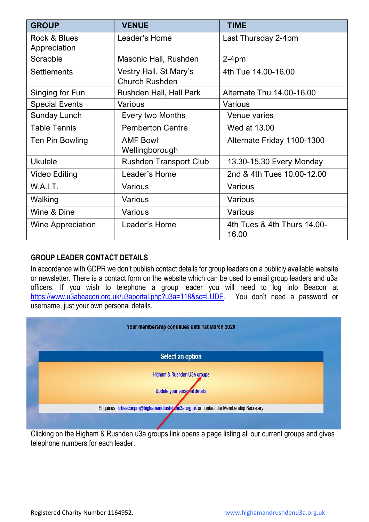| <b>GROUP</b>                 | <b>VENUE</b>                                    | <b>TIME</b>                          |
|------------------------------|-------------------------------------------------|--------------------------------------|
| Rock & Blues<br>Appreciation | Leader's Home                                   | Last Thursday 2-4pm                  |
| Scrabble                     | Masonic Hall, Rushden                           | $2-4pm$                              |
| <b>Settlements</b>           | Vestry Hall, St Mary's<br><b>Church Rushden</b> | 4th Tue 14.00-16.00                  |
| Singing for Fun              | Rushden Hall, Hall Park                         | Alternate Thu 14.00-16.00            |
| <b>Special Events</b>        | Various                                         | Various                              |
| <b>Sunday Lunch</b>          | <b>Every two Months</b>                         | <b>Venue varies</b>                  |
| <b>Table Tennis</b>          | <b>Pemberton Centre</b>                         | Wed at 13.00                         |
| Ten Pin Bowling              | <b>AMF Bowl</b><br>Wellingborough               | Alternate Friday 1100-1300           |
| <b>Ukulele</b>               | <b>Rushden Transport Club</b>                   | 13.30-15.30 Every Monday             |
| <b>Video Editing</b>         | Leader's Home                                   | 2nd & 4th Tues 10.00-12.00           |
| W.A.LT.                      | Various                                         | Various                              |
| Walking                      | Various                                         | Various                              |
| Wine & Dine                  | Various                                         | Various                              |
| <b>Wine Appreciation</b>     | Leader's Home                                   | 4th Tues & 4th Thurs 14.00-<br>16.00 |

#### **GROUP LEADER CONTACT DETAILS**

In accordance with GDPR we don't publish contact details for group leaders on a publicly available website or newsletter. There is a contact form on the website which can be used to email group leaders and u3a officers. If you wish to telephone a group leader you will need to log into Beacon at <https://www.u3abeacon.org.uk/u3aportal.php?u3a=118&sc=LUDE>. You don't need a password or username, just your own personal details.



Clicking on the Higham & Rushden u3a groups link opens a page listing all our current groups and gives telephone numbers for each leader.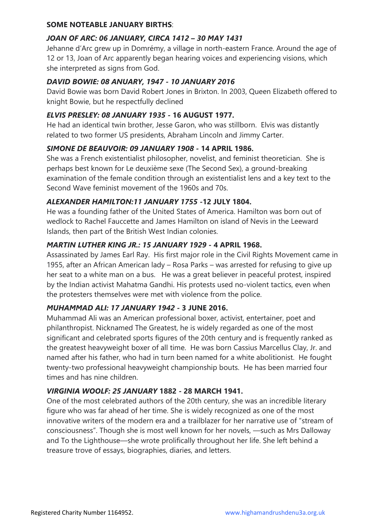#### **SOME NOTEABLE JANUARY BIRTHS**:

#### *JOAN OF ARC: 06 JANUARY, CIRCA 1412 – 30 MAY 1431*

Jehanne d'Arc grew up in Domrémy, a village in north-eastern France. Around the age of 12 or 13, Joan of Arc apparently began hearing voices and experiencing visions, which she interpreted as signs from God.

#### *DAVID BOWIE: 08 ANUARY, 1947 - 10 JANUARY 2016*

David Bowie was born David Robert Jones in Brixton. In 2003, Queen Elizabeth offered to knight Bowie, but he respectfully declined

#### *ELVIS PRESLEY: 08 JANUARY 1935 -* **16 AUGUST 1977.**

He had an identical twin brother, Jesse Garon, who was stillborn. Elvis was distantly related to two former US presidents, Abraham Lincoln and Jimmy Carter.

#### *SIMONE DE BEAUVOIR: 09 JANUARY 1908 -* **14 APRIL 1986.**

She was a French existentialist philosopher, novelist, and feminist theoretician. She is perhaps best known for Le deuxième sexe (The Second Sex), a ground-breaking examination of the female condition through an existentialist lens and a key text to the Second Wave feminist movement of the 1960s and 70s.

#### *ALEXANDER HAMILTON:11 JANUARY 1755 -***12 JULY 1804.**

He was a founding father of the United States of America. Hamilton was born out of wedlock to Rachel Fauccette and James Hamilton on island of Nevis in the Leeward Islands, then part of the British West Indian colonies.

#### *MARTIN LUTHER KING JR.: 15 JANUARY 1929 -* **4 APRIL 1968.**

Assassinated by James Earl Ray. His first major role in the Civil Rights Movement came in 1955, after an African American lady – Rosa Parks – was arrested for refusing to give up her seat to a white man on a bus. He was a great believer in peaceful protest, inspired by the Indian activist Mahatma Gandhi. His protests used no-violent tactics, even when the protesters themselves were met with violence from the police.

#### *MUHAMMAD ALI: 17 JANUARY 1942 -* **3 JUNE 2016.**

Muhammad Ali was an American professional boxer, activist, entertainer, poet and philanthropist. Nicknamed The Greatest, he is widely regarded as one of the most significant and celebrated sports figures of the 20th century and is frequently ranked as the greatest heavyweight boxer of all time. He was born Cassius Marcellus Clay, Jr. and named after his father, who had in turn been named for a white abolitionist. He fought twenty-two professional heavyweight championship bouts. He has been married four times and has nine children.

#### *VIRGINIA WOOLF: 25 JANUARY* **1882 - 28 MARCH 1941.**

One of the most celebrated authors of the 20th century, she was an incredible literary figure who was far ahead of her time. She is widely recognized as one of the most innovative writers of the modern era and a trailblazer for her narrative use of "stream of consciousness". Though she is most well known for her novels, —such as Mrs Dalloway and To the Lighthouse—she wrote prolifically throughout her life. She left behind a treasure trove of essays, biographies, diaries, and letters.